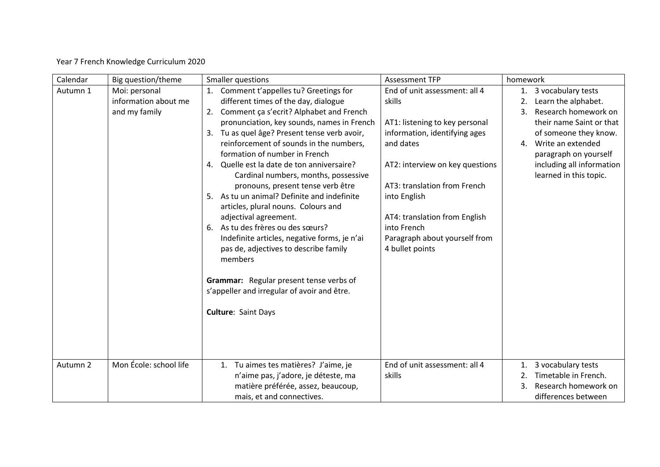## Year 7 French Knowledge Curriculum 2020

| Calendar | Big question/theme     | Smaller questions                             | <b>Assessment TFP</b>           | homework                   |  |
|----------|------------------------|-----------------------------------------------|---------------------------------|----------------------------|--|
| Autumn 1 | Moi: personal          | 1. Comment t'appelles tu? Greetings for       | End of unit assessment: all 4   | 1. 3 vocabulary tests      |  |
|          | information about me   | different times of the day, dialogue          | skills                          | Learn the alphabet.<br>2.  |  |
|          | and my family          | 2. Comment ça s'ecrit? Alphabet and French    |                                 | Research homework on<br>3. |  |
|          |                        | pronunciation, key sounds, names in French    | AT1: listening to key personal  | their name Saint or that   |  |
|          |                        | 3. Tu as quel âge? Present tense verb avoir,  | information, identifying ages   | of someone they know.      |  |
|          |                        | reinforcement of sounds in the numbers,       | and dates                       | 4. Write an extended       |  |
|          |                        | formation of number in French                 |                                 | paragraph on yourself      |  |
|          |                        | Quelle est la date de ton anniversaire?<br>4. | AT2: interview on key questions | including all information  |  |
|          |                        | Cardinal numbers, months, possessive          |                                 | learned in this topic.     |  |
|          |                        | pronouns, present tense verb être             | AT3: translation from French    |                            |  |
|          |                        | As tu un animal? Definite and indefinite      | into English                    |                            |  |
|          |                        | articles, plural nouns. Colours and           |                                 |                            |  |
|          |                        | adjectival agreement.                         | AT4: translation from English   |                            |  |
|          |                        | As tu des frères ou des sœurs?<br>6.          | into French                     |                            |  |
|          |                        | Indefinite articles, negative forms, je n'ai  | Paragraph about yourself from   |                            |  |
|          |                        | pas de, adjectives to describe family         | 4 bullet points                 |                            |  |
|          |                        | members                                       |                                 |                            |  |
|          |                        |                                               |                                 |                            |  |
|          |                        | Grammar: Regular present tense verbs of       |                                 |                            |  |
|          |                        | s'appeller and irregular of avoir and être.   |                                 |                            |  |
|          |                        |                                               |                                 |                            |  |
|          |                        | <b>Culture: Saint Days</b>                    |                                 |                            |  |
|          |                        |                                               |                                 |                            |  |
|          |                        |                                               |                                 |                            |  |
|          |                        |                                               |                                 |                            |  |
|          |                        |                                               |                                 |                            |  |
| Autumn 2 | Mon École: school life | 1. Tu aimes tes matières? J'aime, je          | End of unit assessment: all 4   | 3 vocabulary tests<br>1.   |  |
|          |                        | n'aime pas, j'adore, je déteste, ma           | skills                          | Timetable in French.<br>2. |  |
|          |                        | matière préférée, assez, beaucoup,            |                                 | Research homework on<br>3. |  |
|          |                        | mais, et and connectives.                     |                                 | differences between        |  |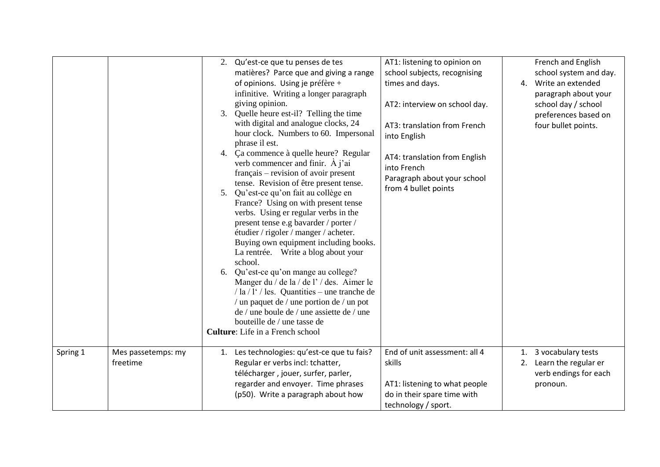|          |                                | 2. Qu'est-ce que tu penses de tes<br>matières? Parce que and giving a range<br>of opinions. Using je préfère +<br>infinitive. Writing a longer paragraph<br>giving opinion.<br>Quelle heure est-il? Telling the time<br>3.<br>with digital and analogue clocks, 24<br>hour clock. Numbers to 60. Impersonal<br>phrase il est.<br>4. Ça commence à quelle heure? Regular<br>verb commencer and finir. $\hat{A}$ j'ai<br>français – revision of avoir present<br>tense. Revision of être present tense.<br>Qu'est-ce qu'on fait au collège en<br>5 <sub>1</sub><br>France? Using on with present tense<br>verbs. Using er regular verbs in the<br>present tense e.g bavarder / porter /<br>étudier / rigoler / manger / acheter.<br>Buying own equipment including books.<br>La rentrée. Write a blog about your<br>school.<br>6. Qu'est-ce qu'on mange au college?<br>Manger du / de la / de l' / des. Aimer le<br>$/ \ln / 1$ <sup>'</sup> / les. Quantities – une tranche de<br>/ un paquet de / une portion de / un pot<br>de / une boule de / une assiette de / une<br>bouteille de / une tasse de<br><b>Culture:</b> Life in a French school | AT1: listening to opinion on<br>school subjects, recognising<br>times and days.<br>AT2: interview on school day.<br>AT3: translation from French<br>into English<br>AT4: translation from English<br>into French<br>Paragraph about your school<br>from 4 bullet points | French and English<br>school system and day.<br>4. Write an extended<br>paragraph about your<br>school day / school<br>preferences based on<br>four bullet points. |
|----------|--------------------------------|--------------------------------------------------------------------------------------------------------------------------------------------------------------------------------------------------------------------------------------------------------------------------------------------------------------------------------------------------------------------------------------------------------------------------------------------------------------------------------------------------------------------------------------------------------------------------------------------------------------------------------------------------------------------------------------------------------------------------------------------------------------------------------------------------------------------------------------------------------------------------------------------------------------------------------------------------------------------------------------------------------------------------------------------------------------------------------------------------------------------------------------------------|-------------------------------------------------------------------------------------------------------------------------------------------------------------------------------------------------------------------------------------------------------------------------|--------------------------------------------------------------------------------------------------------------------------------------------------------------------|
| Spring 1 | Mes passetemps: my<br>freetime | Les technologies: qu'est-ce que tu fais?<br>1.<br>Regular er verbs incl: tchatter,<br>télécharger, jouer, surfer, parler,<br>regarder and envoyer. Time phrases<br>(p50). Write a paragraph about how                                                                                                                                                                                                                                                                                                                                                                                                                                                                                                                                                                                                                                                                                                                                                                                                                                                                                                                                            | End of unit assessment: all 4<br>skills<br>AT1: listening to what people<br>do in their spare time with<br>technology / sport.                                                                                                                                          | 1. 3 vocabulary tests<br>2. Learn the regular er<br>verb endings for each<br>pronoun.                                                                              |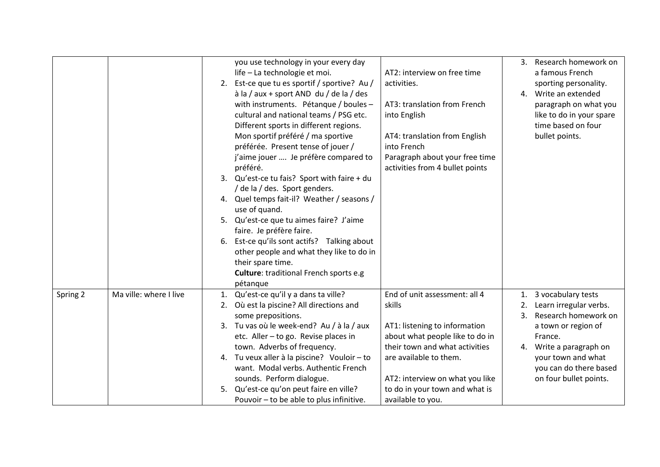|          |                        |    | you use technology in your every day            |                                 | 3. | Research homework on     |
|----------|------------------------|----|-------------------------------------------------|---------------------------------|----|--------------------------|
|          |                        |    | life - La technologie et moi.                   | AT2: interview on free time     |    | a famous French          |
|          |                        |    | 2. Est-ce que tu es sportif / sportive? Au /    | activities.                     |    | sporting personality.    |
|          |                        |    | $\hat{a}$ la / aux + sport AND du / de la / des |                                 |    | 4. Write an extended     |
|          |                        |    | with instruments. Pétanque / boules -           | AT3: translation from French    |    | paragraph on what you    |
|          |                        |    | cultural and national teams / PSG etc.          | into English                    |    | like to do in your spare |
|          |                        |    | Different sports in different regions.          |                                 |    | time based on four       |
|          |                        |    | Mon sportif préféré / ma sportive               | AT4: translation from English   |    | bullet points.           |
|          |                        |    | préférée. Present tense of jouer /              | into French                     |    |                          |
|          |                        |    | j'aime jouer  Je préfère compared to            | Paragraph about your free time  |    |                          |
|          |                        |    | préféré.                                        | activities from 4 bullet points |    |                          |
|          |                        |    | 3. Qu'est-ce tu fais? Sport with faire + du     |                                 |    |                          |
|          |                        |    | / de la / des. Sport genders.                   |                                 |    |                          |
|          |                        |    | 4. Quel temps fait-il? Weather / seasons /      |                                 |    |                          |
|          |                        |    | use of quand.                                   |                                 |    |                          |
|          |                        |    | 5. Qu'est-ce que tu aimes faire? J'aime         |                                 |    |                          |
|          |                        |    | faire. Je préfère faire.                        |                                 |    |                          |
|          |                        | 6. | Est-ce qu'ils sont actifs? Talking about        |                                 |    |                          |
|          |                        |    | other people and what they like to do in        |                                 |    |                          |
|          |                        |    | their spare time.                               |                                 |    |                          |
|          |                        |    | Culture: traditional French sports e.g          |                                 |    |                          |
|          |                        |    | pétanque                                        |                                 |    |                          |
| Spring 2 | Ma ville: where I live | 1. | Qu'est-ce qu'il y a dans ta ville?              | End of unit assessment: all 4   | 1. | 3 vocabulary tests       |
|          |                        | 2. | Où est la piscine? All directions and           | skills                          | 2. | Learn irregular verbs.   |
|          |                        |    | some prepositions.                              |                                 | 3. | Research homework on     |
|          |                        |    | 3. Tu vas où le week-end? Au / à la / aux       | AT1: listening to information   |    | a town or region of      |
|          |                        |    | etc. Aller - to go. Revise places in            | about what people like to do in |    | France.                  |
|          |                        |    | town. Adverbs of frequency.                     | their town and what activities  |    | 4. Write a paragraph on  |
|          |                        | 4. | Tu veux aller à la piscine? Vouloir - to        | are available to them.          |    | your town and what       |
|          |                        |    | want. Modal verbs. Authentic French             |                                 |    | you can do there based   |
|          |                        |    | sounds. Perform dialogue.                       | AT2: interview on what you like |    | on four bullet points.   |
|          |                        | 5. | Qu'est-ce qu'on peut faire en ville?            | to do in your town and what is  |    |                          |
|          |                        |    | Pouvoir - to be able to plus infinitive.        | available to you.               |    |                          |